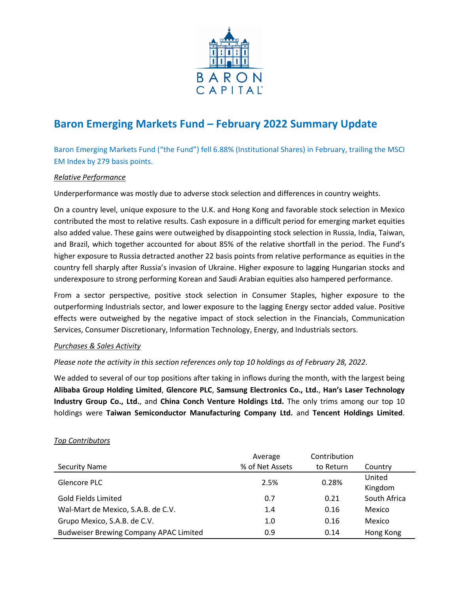

# **Baron Emerging Markets Fund – February 2022 Summary Update**

Baron Emerging Markets Fund ("the Fund") fell 6.88% (Institutional Shares) in February, trailing the MSCI EM Index by 279 basis points.

# *Relative Performance*

Underperformance was mostly due to adverse stock selection and differences in country weights.

On a country level, unique exposure to the U.K. and Hong Kong and favorable stock selection in Mexico contributed the most to relative results. Cash exposure in a difficult period for emerging market equities also added value. These gains were outweighed by disappointing stock selection in Russia, India, Taiwan, and Brazil, which together accounted for about 85% of the relative shortfall in the period. The Fund's higher exposure to Russia detracted another 22 basis points from relative performance as equities in the country fell sharply after Russia's invasion of Ukraine. Higher exposure to lagging Hungarian stocks and underexposure to strong performing Korean and Saudi Arabian equities also hampered performance.

From a sector perspective, positive stock selection in Consumer Staples, higher exposure to the outperforming Industrials sector, and lower exposure to the lagging Energy sector added value. Positive effects were outweighed by the negative impact of stock selection in the Financials, Communication Services, Consumer Discretionary, Information Technology, Energy, and Industrials sectors.

## *Purchases & Sales Activity*

## *Please note the activity in this section references only top 10 holdings as of February 28, 2022*.

We added to several of our top positions after taking in inflows during the month, with the largest being **Alibaba Group Holding Limited**, **Glencore PLC**, **Samsung Electronics Co., Ltd.**, **Han's Laser Technology Industry Group Co., Ltd.**, and **China Conch Venture Holdings Ltd.** The only trims among our top 10 holdings were **Taiwan Semiconductor Manufacturing Company Ltd.** and **Tencent Holdings Limited**.

## *Top Contributors*

|                                               | Average         | Contribution |                   |
|-----------------------------------------------|-----------------|--------------|-------------------|
| <b>Security Name</b>                          | % of Net Assets | to Return    | Country           |
| Glencore PLC                                  | 2.5%            | 0.28%        | United<br>Kingdom |
| <b>Gold Fields Limited</b>                    | 0.7             | 0.21         | South Africa      |
| Wal-Mart de Mexico, S.A.B. de C.V.            | 1.4             | 0.16         | Mexico            |
| Grupo Mexico, S.A.B. de C.V.                  | 1.0             | 0.16         | Mexico            |
| <b>Budweiser Brewing Company APAC Limited</b> | 0.9             | 0.14         | Hong Kong         |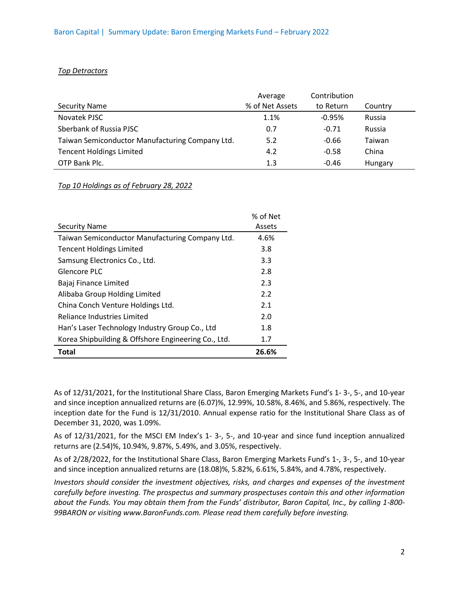#### *Top Detractors*

|                                                 | Average         | Contribution |         |
|-------------------------------------------------|-----------------|--------------|---------|
| <b>Security Name</b>                            | % of Net Assets | to Return    | Country |
| Novatek PJSC                                    | 1.1%            | $-0.95%$     | Russia  |
| Sberbank of Russia PJSC                         | 0.7             | $-0.71$      | Russia  |
| Taiwan Semiconductor Manufacturing Company Ltd. | 5.2             | $-0.66$      | Taiwan  |
| <b>Tencent Holdings Limited</b>                 | 4.2             | $-0.58$      | China   |
| OTP Bank Plc.                                   | 1.3             | $-0.46$      | Hungary |

## *Top 10 Holdings as of February 28, 2022*

|                                                     | % of Net |
|-----------------------------------------------------|----------|
| <b>Security Name</b>                                | Assets   |
| Taiwan Semiconductor Manufacturing Company Ltd.     | 4.6%     |
| <b>Tencent Holdings Limited</b>                     | 3.8      |
| Samsung Electronics Co., Ltd.                       | 3.3      |
| Glencore PLC                                        | 2.8      |
| Bajaj Finance Limited                               | 2.3      |
| Alibaba Group Holding Limited                       | 2.2      |
| China Conch Venture Holdings Ltd.                   | 2.1      |
| <b>Reliance Industries Limited</b>                  | 2.0      |
| Han's Laser Technology Industry Group Co., Ltd      | 1.8      |
| Korea Shipbuilding & Offshore Engineering Co., Ltd. | 1.7      |
| Total                                               | 26.6%    |

As of 12/31/2021, for the Institutional Share Class, Baron Emerging Markets Fund's 1- 3-, 5-, and 10-year and since inception annualized returns are (6.07)%, 12.99%, 10.58%, 8.46%, and 5.86%, respectively. The inception date for the Fund is 12/31/2010. Annual expense ratio for the Institutional Share Class as of December 31, 2020, was 1.09%.

As of 12/31/2021, for the MSCI EM Index's 1- 3-, 5-, and 10-year and since fund inception annualized returns are (2.54)%, 10.94%, 9.87%, 5.49%, and 3.05%, respectively.

As of 2/28/2022, for the Institutional Share Class, Baron Emerging Markets Fund's 1-, 3-, 5-, and 10-year and since inception annualized returns are (18.08)%, 5.82%, 6.61%, 5.84%, and 4.78%, respectively.

*Investors should consider the investment objectives, risks, and charges and expenses of the investment carefully before investing. The prospectus and summary prospectuses contain this and other information about the Funds. You may obtain them from the Funds' distributor, Baron Capital, Inc., by calling 1-800- 99BARON or visiting www.BaronFunds.com. Please read them carefully before investing.*